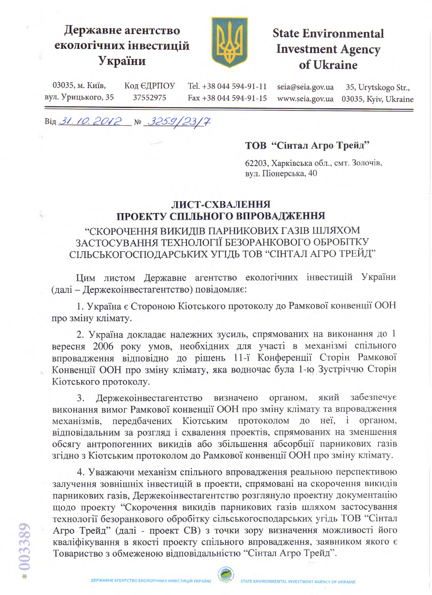## Державне агентство екологічних інвестицій України



# **State Environmental Investment Agency** of Ukraine

03035, м. Київ, Код ЄДРПОУ Tel. +38 044 594-91-11 seia@seia.gov.ua 35, Urytskogo Str., вул. Урицького, 35 37552975 Fax +38 044 594-91-15 www.seia.gov.ua 03035, Kyiv, Ukraine

Від 31.10.2012 № 3259/23/7

#### ТОВ "Сінтал Агро Трейд"

62203, Харківська обл., смт. Золочів, вул. Піонерська, 40

### ЛИСТ-СХВАЛЕННЯ ПРОЕКТУ СПІЛЬНОГО ВПРОВАДЖЕННЯ

## "СКОРОЧЕННЯ ВИКИДІВ ПАРНИКОВИХ ГАЗІВ ШЛЯХОМ ЗАСТОСУВАННЯ ТЕХНОЛОГІЇ БЕЗОРАНКОВОГО ОБРОБІТКУ СІЛЬСЬКОГОСПОДАРСЬКИХ УГІДЬ ТОВ "СІНТАЛ АГРО ТРЕЙД"

Цим листом Державне агентство екологічних інвестицій України (далі - Держекоінвестагентство) повідомляє:

1. Україна є Стороною Кіотського протоколу до Рамкової конвенції ООН про зміну клімату.

2. Україна докладає належних зусиль, спрямованих на виконання до 1 вересня 2006 року умов, необхідних для участі в механізмі спільного впровадження відповідно до рішень 11-ї Конференції Сторін Рамкової Конвенції ООН про зміну клімату, яка водночас була 1-ю Зустріччю Сторін Кіотського протоколу.

який забезпечує 3. Держекоінвестагентство визначено органом, виконання вимог Рамкової конвенції ООН про зміну клімату та впровадження механізмів, передбачених Кіотським протоколом до неї, і органом, відповідальним за розгляд і схвалення проектів, спрямованих на зменшення обсягу антропогенних викидів або збільшення абсорбції парникових газів згідно з Кіотським протоколом до Рамкової конвенції ООН про зміну клімату.

4. Уважаючи механізм спільного впровадження реальною перспективою залучення зовнішніх інвестицій в проекти, спрямовані на скорочення викидів парникових газів, Держекоінвестагентство розглянуло проектну документацію щодо проекту "Скорочення викидів парникових газів шляхом застосування технології безоранкового обробітку сільськогосподарських угідь ТОВ "Сінтал Агро Трейд" (далі - проект СВ) з точки зору визначення можливості його кваліфікування в якості проекту спільного впровадження, заявником якого є Товариство з обмеженою відповідальністю "Сінтал Агро Трейд".